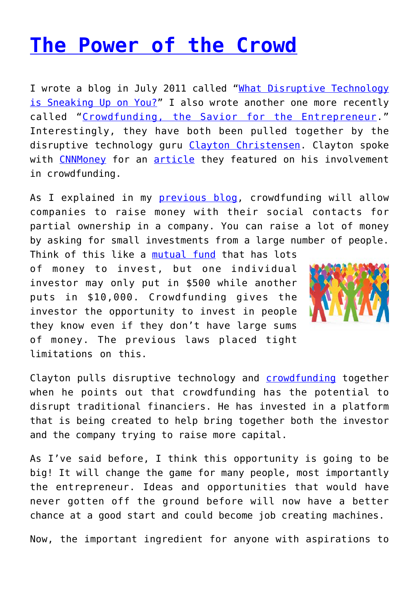## **[The Power of the Crowd](http://anentrepreneurialjourney.com/the-power-of-the-crowd/)**

I wrote a blog in July 2011 called ["What Disruptive Technology](http://efficience.us/greg/what-disruptive-technology-is-sneaking-up-on-you/) [is Sneaking Up on You?"](http://efficience.us/greg/what-disruptive-technology-is-sneaking-up-on-you/) I also wrote another one more recently called "[Crowdfunding, the Savior for the Entrepreneur.](http://efficience.us/greg/crowdfunding-the-savior-for-the-entrepreneur/)" Interestingly, they have both been pulled together by the disruptive technology guru [Clayton Christensen.](http://www.claytonchristensen.com/bio.html) Clayton spoke with [CNNMoney](http://finance.fortune.cnn.com/2012/06/13/exclusive-clayton-christensen-gets-into-crowdfunding/?iid=SF_F_River) for an [article](http://finance.fortune.cnn.com/2012/06/13/exclusive-clayton-christensen-gets-into-crowdfunding/?iid=SF_F_River) they featured on his involvement in crowdfunding.

As I explained in my **previous blog**, crowdfunding will allow companies to raise money with their social contacts for partial ownership in a company. You can raise a lot of money by asking for small investments from a large number of people.

Think of this like a [mutual fund](http://en.wikipedia.org/wiki/Mutual_fund) that has lots of money to invest, but one individual investor may only put in \$500 while another puts in \$10,000. Crowdfunding gives the investor the opportunity to invest in people they know even if they don't have large sums of money. The previous laws placed tight limitations on this.



Clayton pulls disruptive technology and [crowdfunding](http://en.wikipedia.org/wiki/Crowd_funding) together when he points out that crowdfunding has the potential to disrupt traditional financiers. He has invested in a platform that is being created to help bring together both the investor and the company trying to raise more capital.

As I've said before, I think this opportunity is going to be big! It will change the game for many people, most importantly the entrepreneur. Ideas and opportunities that would have never gotten off the ground before will now have a better chance at a good start and could become job creating machines.

Now, the important ingredient for anyone with aspirations to